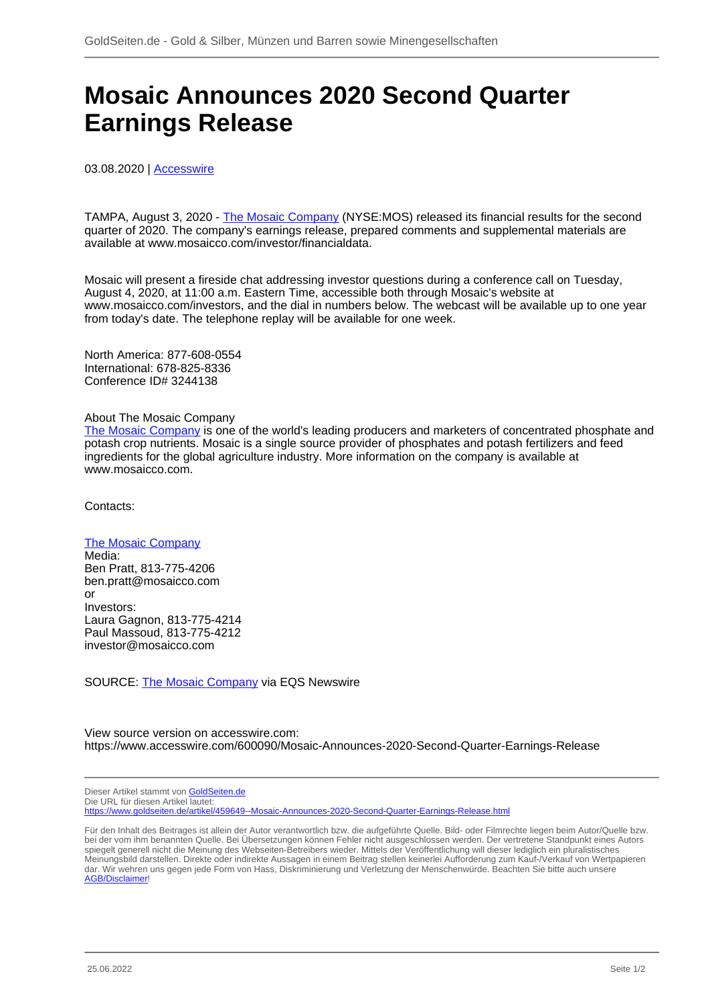## **Mosaic Announces 2020 Second Quarter Earnings Release**

03.08.2020 | [Accesswire](/profil/272--Accesswire)

TAMPA, August 3, 2020 - [The Mosaic Company](/minen/1202--The-Mosaic-Company) (NYSE:MOS) released its financial results for the second quarter of 2020. The company's earnings release, prepared comments and supplemental materials are available at www.mosaicco.com/investor/financialdata.

Mosaic will present a fireside chat addressing investor questions during a conference call on Tuesday, August 4, 2020, at 11:00 a.m. Eastern Time, accessible both through Mosaic's website at www.mosaicco.com/investors, and the dial in numbers below. The webcast will be available up to one year from today's date. The telephone replay will be available for one week.

North America: 877-608-0554 International: 678-825-8336 Conference ID# 3244138

## About The Mosaic Company

[The Mosaic Company](/minen/1202--The-Mosaic-Company) is one of the world's leading producers and marketers of concentrated phosphate and potash crop nutrients. Mosaic is a single source provider of phosphates and potash fertilizers and feed ingredients for the global agriculture industry. More information on the company is available at www.mosaicco.com.

Contacts:

## [The Mosaic Company](/minen/1202--The-Mosaic-Company)

Media: Ben Pratt, 813-775-4206 ben.pratt@mosaicco.com or Investors: Laura Gagnon, 813-775-4214 Paul Massoud, 813-775-4212 investor@mosaicco.com

SOURCE: [The Mosaic Company](/minen/1202--The-Mosaic-Company) via EQS Newswire

View source version on accesswire.com: https://www.accesswire.com/600090/Mosaic-Announces-2020-Second-Quarter-Earnings-Release

Dieser Artikel stammt von [GoldSeiten.de](https://www.goldseiten.de) Die URL für diesen Artikel lautet: <https://www.goldseiten.de/artikel/459649--Mosaic-Announces-2020-Second-Quarter-Earnings-Release.html>

Für den Inhalt des Beitrages ist allein der Autor verantwortlich bzw. die aufgeführte Quelle. Bild- oder Filmrechte liegen beim Autor/Quelle bzw. bei der vom ihm benannten Quelle. Bei Übersetzungen können Fehler nicht ausgeschlossen werden. Der vertretene Standpunkt eines Autors spiegelt generell nicht die Meinung des Webseiten-Betreibers wieder. Mittels der Veröffentlichung will dieser lediglich ein pluralistisches Meinungsbild darstellen. Direkte oder indirekte Aussagen in einem Beitrag stellen keinerlei Aufforderung zum Kauf-/Verkauf von Wertpapieren dar. Wir wehren uns gegen jede Form von Hass, Diskriminierung und Verletzung der Menschenwürde. Beachten Sie bitte auch unsere [AGB/Disclaimer!](/intern/agb.php)